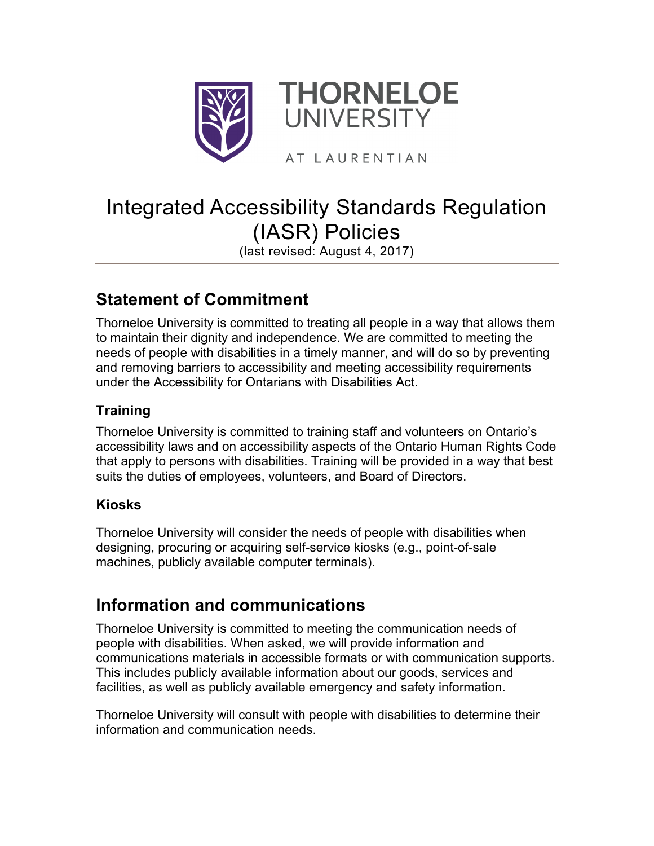

# Integrated Accessibility Standards Regulation (IASR) Policies

(last revised: August 4, 2017)

## **Statement of Commitment**

Thorneloe University is committed to treating all people in a way that allows them to maintain their dignity and independence. We are committed to meeting the needs of people with disabilities in a timely manner, and will do so by preventing and removing barriers to accessibility and meeting accessibility requirements under the Accessibility for Ontarians with Disabilities Act.

#### **Training**

Thorneloe University is committed to training staff and volunteers on Ontario's accessibility laws and on accessibility aspects of the Ontario Human Rights Code that apply to persons with disabilities. Training will be provided in a way that best suits the duties of employees, volunteers, and Board of Directors.

#### **Kiosks**

Thorneloe University will consider the needs of people with disabilities when designing, procuring or acquiring self-service kiosks (e.g., point-of-sale machines, publicly available computer terminals).

### **Information and communications**

Thorneloe University is committed to meeting the communication needs of people with disabilities. When asked, we will provide information and communications materials in accessible formats or with communication supports. This includes publicly available information about our goods, services and facilities, as well as publicly available emergency and safety information.

Thorneloe University will consult with people with disabilities to determine their information and communication needs.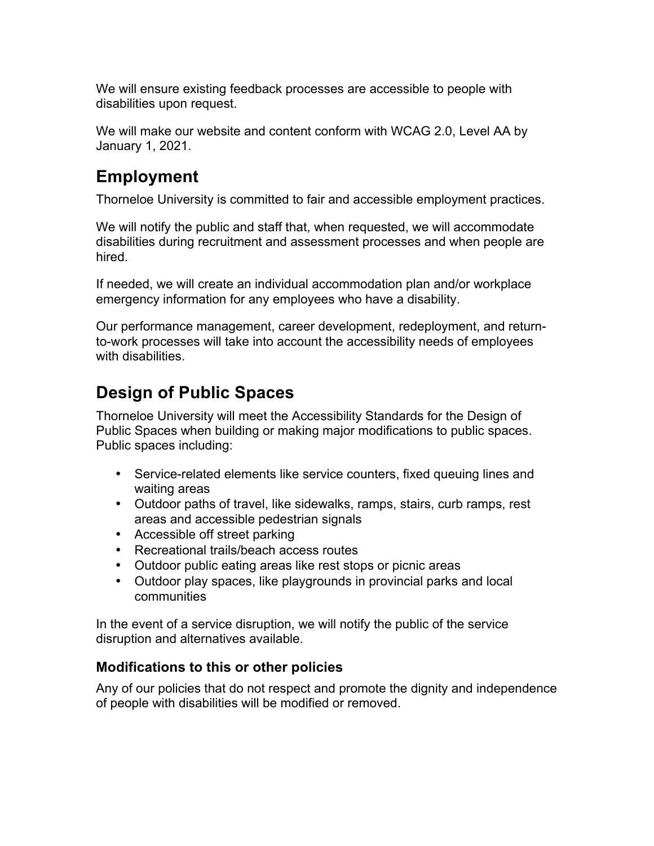We will ensure existing feedback processes are accessible to people with disabilities upon request.

We will make our website and content conform with WCAG 2.0, Level AA by January 1, 2021.

#### **Employment**

Thorneloe University is committed to fair and accessible employment practices.

We will notify the public and staff that, when requested, we will accommodate disabilities during recruitment and assessment processes and when people are hired.

If needed, we will create an individual accommodation plan and/or workplace emergency information for any employees who have a disability.

Our performance management, career development, redeployment, and returnto-work processes will take into account the accessibility needs of employees with disabilities.

### **Design of Public Spaces**

Thorneloe University will meet the Accessibility Standards for the Design of Public Spaces when building or making major modifications to public spaces. Public spaces including:

- Service-related elements like service counters, fixed queuing lines and waiting areas
- Outdoor paths of travel, like sidewalks, ramps, stairs, curb ramps, rest areas and accessible pedestrian signals
- Accessible off street parking
- Recreational trails/beach access routes
- Outdoor public eating areas like rest stops or picnic areas
- Outdoor play spaces, like playgrounds in provincial parks and local communities

In the event of a service disruption, we will notify the public of the service disruption and alternatives available.

#### **Modifications to this or other policies**

Any of our policies that do not respect and promote the dignity and independence of people with disabilities will be modified or removed.